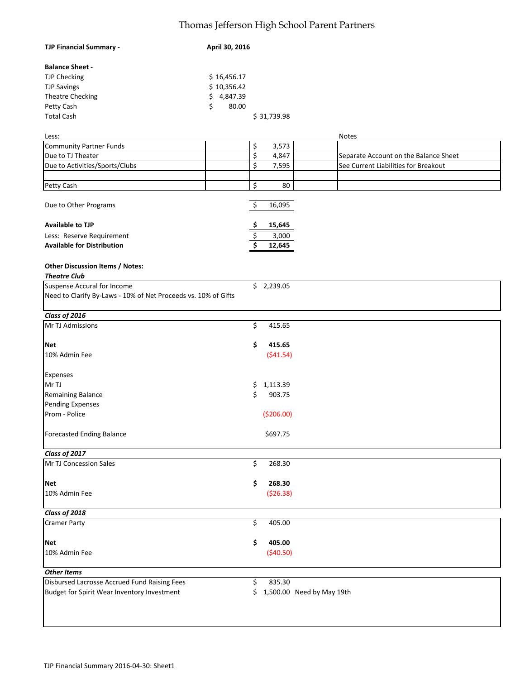## Thomas Jefferson High School Parent Partners

| <b>TJP Financial Summary -</b>                                 | April 30, 2016                                       |  |
|----------------------------------------------------------------|------------------------------------------------------|--|
| <b>Balance Sheet -</b>                                         |                                                      |  |
| <b>TJP Checking</b>                                            | \$16,456.17                                          |  |
| <b>TJP Savings</b>                                             | \$10,356.42                                          |  |
| Theatre Checking                                               | 4,847.39<br>\$                                       |  |
| Petty Cash                                                     | \$<br>80.00                                          |  |
| <b>Total Cash</b>                                              |                                                      |  |
|                                                                | \$31,739.98                                          |  |
| Less:                                                          | <b>Notes</b>                                         |  |
| <b>Community Partner Funds</b>                                 | \$<br>3,573                                          |  |
| Due to TJ Theater                                              | \$<br>4,847<br>Separate Account on the Balance Sheet |  |
|                                                                | \$                                                   |  |
| Due to Activities/Sports/Clubs                                 | See Current Liabilities for Breakout<br>7,595        |  |
|                                                                |                                                      |  |
| Petty Cash                                                     | \$<br>80                                             |  |
| Due to Other Programs                                          | 16,095<br>\$                                         |  |
| <b>Available to TJP</b>                                        | 15,645<br>\$                                         |  |
| Less: Reserve Requirement                                      | \$<br>3,000                                          |  |
| <b>Available for Distribution</b>                              | $\overline{\mathsf{s}}$<br>12,645                    |  |
| <b>Other Discussion Items / Notes:</b><br><b>Theatre Club</b>  |                                                      |  |
| Suspense Accural for Income                                    | \$2,239.05                                           |  |
| Need to Clarify By-Laws - 10% of Net Proceeds vs. 10% of Gifts |                                                      |  |
| Class of 2016                                                  |                                                      |  |
| Mr TJ Admissions                                               | \$<br>415.65                                         |  |
| <b>Net</b>                                                     | \$<br>415.65                                         |  |
| 10% Admin Fee                                                  | ( \$41.54)                                           |  |
|                                                                |                                                      |  |
| Expenses                                                       |                                                      |  |
| Mr TJ                                                          | 1,113.39<br>\$.                                      |  |
| Remaining Balance                                              | \$<br>903.75                                         |  |
| <b>Pending Expenses</b>                                        |                                                      |  |
| Prom - Police                                                  | (\$206.00)                                           |  |
| <b>Forecasted Ending Balance</b>                               | \$697.75                                             |  |
| Class of 2017                                                  |                                                      |  |
| Mr TJ Concession Sales                                         | \$<br>268.30                                         |  |
|                                                                |                                                      |  |
| <b>Net</b>                                                     | \$<br>268.30                                         |  |
| 10% Admin Fee                                                  | ( \$26.38)                                           |  |
| Class of 2018                                                  |                                                      |  |
| <b>Cramer Party</b>                                            | \$<br>405.00                                         |  |
|                                                                |                                                      |  |
| <b>Net</b>                                                     | \$<br>405.00                                         |  |
| 10% Admin Fee                                                  | (540.50)                                             |  |
| <b>Other Items</b>                                             |                                                      |  |
| Disbursed Lacrosse Accrued Fund Raising Fees                   | \$<br>835.30                                         |  |
| Budget for Spirit Wear Inventory Investment                    | \$ 1,500.00 Need by May 19th                         |  |
|                                                                |                                                      |  |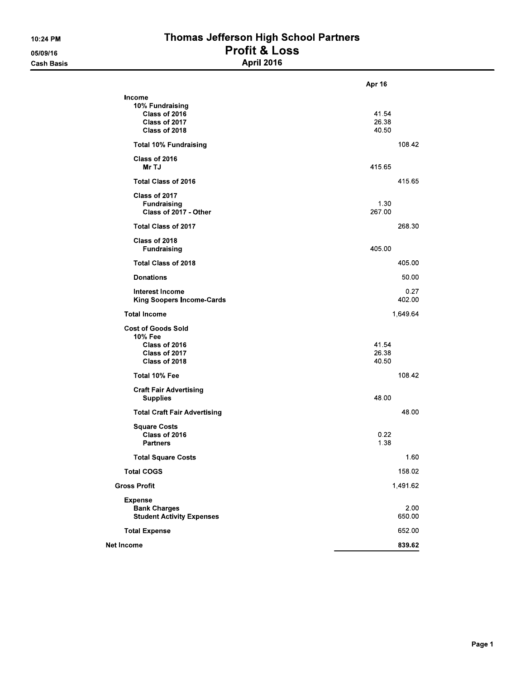## Thomas Jefferson High School Partners Profit & Loss<br>April 2016

|                                                                                         | <b>Apr 16</b>           |
|-----------------------------------------------------------------------------------------|-------------------------|
| Income<br>10% Fundraising<br>Class of 2016<br>Class of 2017<br>Class of 2018            | 41.54<br>26.38<br>40.50 |
| <b>Total 10% Fundraising</b>                                                            | 108.42                  |
| Class of 2016<br>Mr TJ                                                                  | 415 65                  |
| <b>Total Class of 2016</b>                                                              | 415.65                  |
| Class of 2017<br><b>Fundraising</b><br>Class of 2017 - Other                            | 1 30<br>267 00          |
| <b>Total Class of 2017</b>                                                              | 268.30                  |
| Class of 2018<br><b>Fundraising</b>                                                     | 405.00                  |
| <b>Total Class of 2018</b>                                                              | 405.00                  |
| <b>Donations</b>                                                                        | 50.00                   |
| <b>Interest Income</b><br><b>King Soopers Income-Cards</b>                              | 0.27<br>402.00          |
| <b>Total Income</b>                                                                     | 1,649.64                |
| <b>Cost of Goods Sold</b><br>10% Fee<br>Class of 2016<br>Class of 2017<br>Class of 2018 | 41.54<br>26.38<br>40.50 |
| Total 10% Fee                                                                           | 108.42                  |
| <b>Craft Fair Advertising</b><br><b>Supplies</b>                                        | 48.00                   |
| <b>Total Craft Fair Advertising</b>                                                     | 48.00                   |
| <b>Square Costs</b><br>Class of 2016<br><b>Partners</b>                                 | 0.22<br>1.38            |
| <b>Total Square Costs</b>                                                               | 1.60                    |
| <b>Total COGS</b>                                                                       | 158.02                  |
| <b>Gross Profit</b>                                                                     | 1,491.62                |
| <b>Expense</b><br><b>Bank Charges</b><br><b>Student Activity Expenses</b>               | 2.00<br>650.00          |
| <b>Total Expense</b>                                                                    | 652.00                  |
| <b>Net Income</b>                                                                       | 839.62                  |